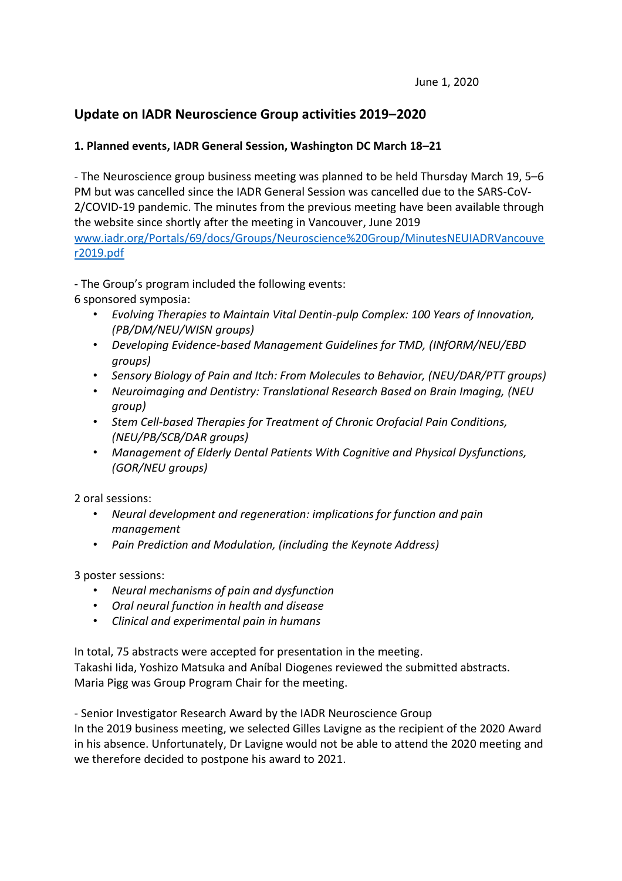# **Update on IADR Neuroscience Group activities 2019–2020**

## **1. Planned events, IADR General Session, Washington DC March 18–21**

- The Neuroscience group business meeting was planned to be held Thursday March 19, 5–6 PM but was cancelled since the IADR General Session was cancelled due to the SARS-CoV-2/COVID-19 pandemic. The minutes from the previous meeting have been available through the website since shortly after the meeting in Vancouver, June 2019 [www.iadr.org/Portals/69/docs/Groups/Neuroscience%20Group/MinutesNEUIADRVancouve](http://www.iadr.org/Portals/69/docs/Groups/Neuroscience%20Group/MinutesNEUIADRVancouver2019.pdf) [r2019.pdf](http://www.iadr.org/Portals/69/docs/Groups/Neuroscience%20Group/MinutesNEUIADRVancouver2019.pdf)

- The Group's program included the following events:

6 sponsored symposia:

- *Evolving Therapies to Maintain Vital Dentin-pulp Complex: 100 Years of Innovation, (PB/DM/NEU/WISN groups)*
- *Developing Evidence-based Management Guidelines for TMD, (INfORM/NEU/EBD groups)*
- *Sensory Biology of Pain and Itch: From Molecules to Behavior, (NEU/DAR/PTT groups)*
- *Neuroimaging and Dentistry: Translational Research Based on Brain Imaging, (NEU group)*
- *Stem Cell-based Therapies for Treatment of Chronic Orofacial Pain Conditions, (NEU/PB/SCB/DAR groups)*
- *Management of Elderly Dental Patients With Cognitive and Physical Dysfunctions, (GOR/NEU groups)*

2 oral sessions:

- *Neural development and regeneration: implications for function and pain management*
- *Pain Prediction and Modulation, (including the Keynote Address)*

3 poster sessions:

- *Neural mechanisms of pain and dysfunction*
- *Oral neural function in health and disease*
- *Clinical and experimental pain in humans*

In total, 75 abstracts were accepted for presentation in the meeting.

Takashi Iida, Yoshizo Matsuka and Aníbal Diogenes reviewed the submitted abstracts. Maria Pigg was Group Program Chair for the meeting.

- Senior Investigator Research Award by the IADR Neuroscience Group

In the 2019 business meeting, we selected Gilles Lavigne as the recipient of the 2020 Award in his absence. Unfortunately, Dr Lavigne would not be able to attend the 2020 meeting and we therefore decided to postpone his award to 2021.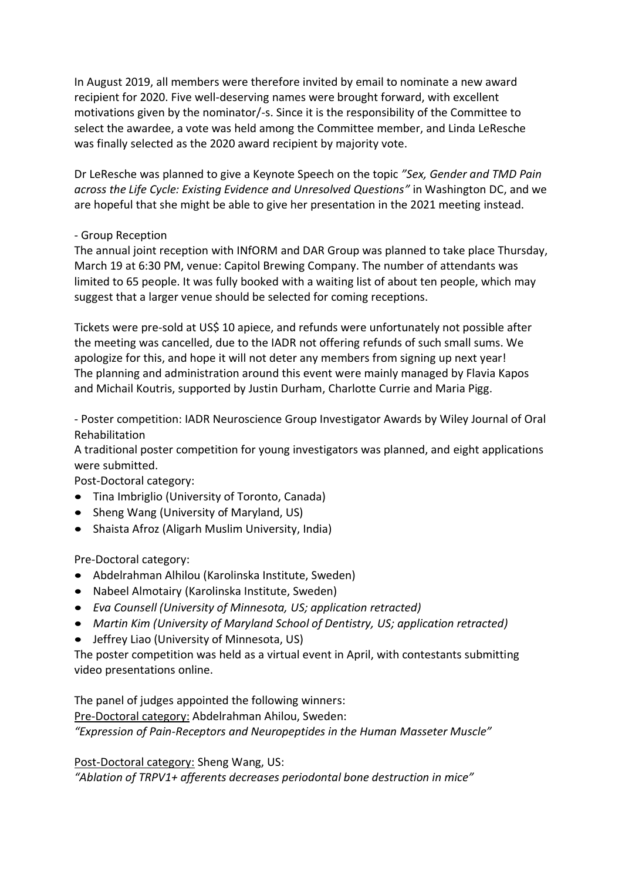In August 2019, all members were therefore invited by email to nominate a new award recipient for 2020. Five well-deserving names were brought forward, with excellent motivations given by the nominator/-s. Since it is the responsibility of the Committee to select the awardee, a vote was held among the Committee member, and Linda LeResche was finally selected as the 2020 award recipient by majority vote.

Dr LeResche was planned to give a Keynote Speech on the topic *"Sex, Gender and TMD Pain across the Life Cycle: Existing Evidence and Unresolved Questions"* in Washington DC, and we are hopeful that she might be able to give her presentation in the 2021 meeting instead.

#### - Group Reception

The annual joint reception with INfORM and DAR Group was planned to take place Thursday, March 19 at 6:30 PM, venue: Capitol Brewing Company. The number of attendants was limited to 65 people. It was fully booked with a waiting list of about ten people, which may suggest that a larger venue should be selected for coming receptions.

Tickets were pre-sold at US\$ 10 apiece, and refunds were unfortunately not possible after the meeting was cancelled, due to the IADR not offering refunds of such small sums. We apologize for this, and hope it will not deter any members from signing up next year! The planning and administration around this event were mainly managed by Flavia Kapos and Michail Koutris, supported by Justin Durham, Charlotte Currie and Maria Pigg.

- Poster competition: IADR Neuroscience Group Investigator Awards by Wiley Journal of Oral Rehabilitation

A traditional poster competition for young investigators was planned, and eight applications were submitted.

Post-Doctoral category:

- Tina Imbriglio (University of Toronto, Canada)
- Sheng Wang (University of Maryland, US)
- Shaista Afroz (Aligarh Muslim University, India)

Pre-Doctoral category:

- Abdelrahman Alhilou (Karolinska Institute, Sweden)
- Nabeel Almotairy (Karolinska Institute, Sweden)
- *Eva Counsell (University of Minnesota, US; application retracted)*
- *Martin Kim (University of Maryland School of Dentistry, US; application retracted)*
- Jeffrey Liao (University of Minnesota, US)

The poster competition was held as a virtual event in April, with contestants submitting video presentations online.

The panel of judges appointed the following winners: Pre-Doctoral category: Abdelrahman Ahilou, Sweden: *"Expression of Pain-Receptors and Neuropeptides in the Human Masseter Muscle"*

Post-Doctoral category: Sheng Wang, US:

*"Ablation of TRPV1+ afferents decreases periodontal bone destruction in mice"*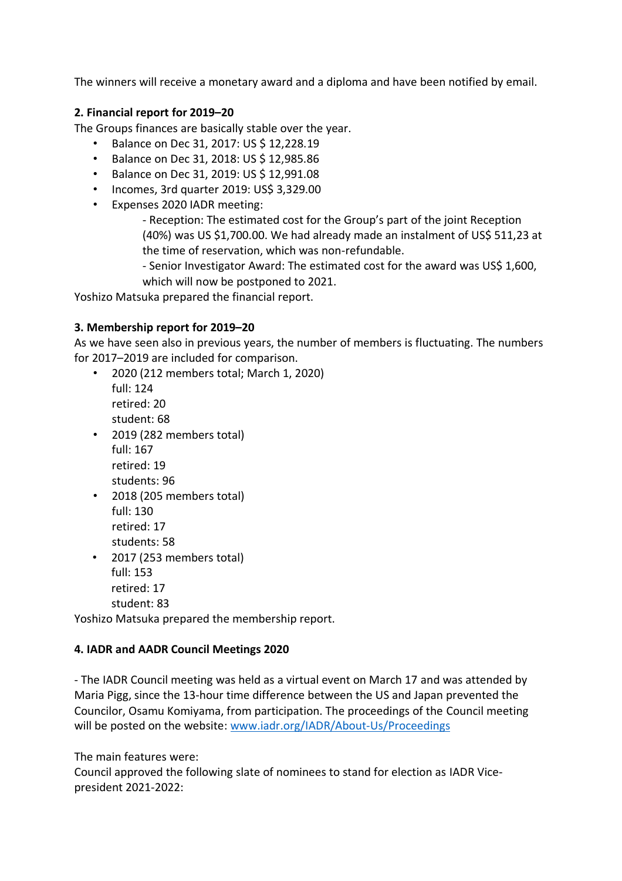The winners will receive a monetary award and a diploma and have been notified by email.

## **2. Financial report for 2019–20**

The Groups finances are basically stable over the year.

- Balance on Dec 31, 2017: US \$ 12,228.19
- Balance on Dec 31, 2018: US \$ 12,985.86
- Balance on Dec 31, 2019: US \$ 12,991.08
- Incomes, 3rd quarter 2019: US\$ 3,329.00
- Expenses 2020 IADR meeting:

- Reception: The estimated cost for the Group's part of the joint Reception (40%) was US \$1,700.00. We had already made an instalment of US\$ 511,23 at the time of reservation, which was non-refundable.

- Senior Investigator Award: The estimated cost for the award was US\$ 1,600, which will now be postponed to 2021.

Yoshizo Matsuka prepared the financial report.

#### **3. Membership report for 2019–20**

As we have seen also in previous years, the number of members is fluctuating. The numbers for 2017–2019 are included for comparison.

- 2020 (212 members total; March 1, 2020) full: 124 retired: 20 student: 68
- 2019 (282 members total) full: 167 retired: 19 students: 96
- 2018 (205 members total) full: 130 retired: 17 students: 58
- 2017 (253 members total) full: 153 retired: 17 student: 83

Yoshizo Matsuka prepared the membership report.

## **4. IADR and AADR Council Meetings 2020**

- The IADR Council meeting was held as a virtual event on March 17 and was attended by Maria Pigg, since the 13-hour time difference between the US and Japan prevented the Councilor, Osamu Komiyama, from participation. The proceedings of the Council meeting will be posted on the website: [www.iadr.org/IADR/About-Us/Proceedings](http://www.iadr.org/IADR/About-Us/Proceedings)

The main features were:

Council approved the following slate of nominees to stand for election as IADR Vicepresident 2021-2022: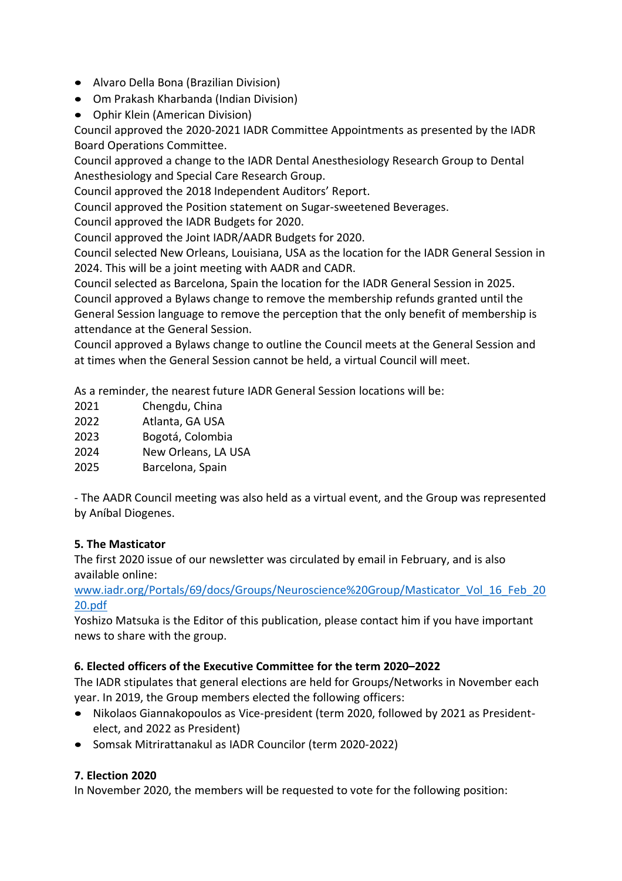- Alvaro Della Bona (Brazilian Division)
- Om Prakash Kharbanda (Indian Division)
- Ophir Klein (American Division)

Council approved the 2020-2021 IADR Committee Appointments as presented by the IADR Board Operations Committee.

Council approved a change to the IADR Dental Anesthesiology Research Group to Dental Anesthesiology and Special Care Research Group.

Council approved the 2018 Independent Auditors' Report.

Council approved the Position statement on Sugar-sweetened Beverages.

Council approved the IADR Budgets for 2020.

Council approved the Joint IADR/AADR Budgets for 2020.

Council selected New Orleans, Louisiana, USA as the location for the IADR General Session in 2024. This will be a joint meeting with AADR and CADR.

Council selected as Barcelona, Spain the location for the IADR General Session in 2025.

Council approved a Bylaws change to remove the membership refunds granted until the General Session language to remove the perception that the only benefit of membership is attendance at the General Session.

Council approved a Bylaws change to outline the Council meets at the General Session and at times when the General Session cannot be held, a virtual Council will meet.

As a reminder, the nearest future IADR General Session locations will be:

2023 Bogotá, Colombia

2024 New Orleans, LA USA

2025 Barcelona, Spain

- The AADR Council meeting was also held as a virtual event, and the Group was represented by Aníbal Diogenes.

## **5. The Masticator**

The first 2020 issue of our newsletter was circulated by email in February, and is also available online:

[www.iadr.org/Portals/69/docs/Groups/Neuroscience%20Group/Masticator\\_Vol\\_16\\_Feb\\_20](http://www.iadr.org/Portals/69/docs/Groups/Neuroscience%20Group/Masticator_Vol_16_Feb_2020.pdf) [20.pdf](http://www.iadr.org/Portals/69/docs/Groups/Neuroscience%20Group/Masticator_Vol_16_Feb_2020.pdf)

Yoshizo Matsuka is the Editor of this publication, please contact him if you have important news to share with the group.

## **6. Elected officers of the Executive Committee for the term 2020–2022**

The IADR stipulates that general elections are held for Groups/Networks in November each year. In 2019, the Group members elected the following officers:

- Nikolaos Giannakopoulos as Vice-president (term 2020, followed by 2021 as Presidentelect, and 2022 as President)
- Somsak Mitrirattanakul as IADR Councilor (term 2020-2022)

## **7. Election 2020**

In November 2020, the members will be requested to vote for the following position: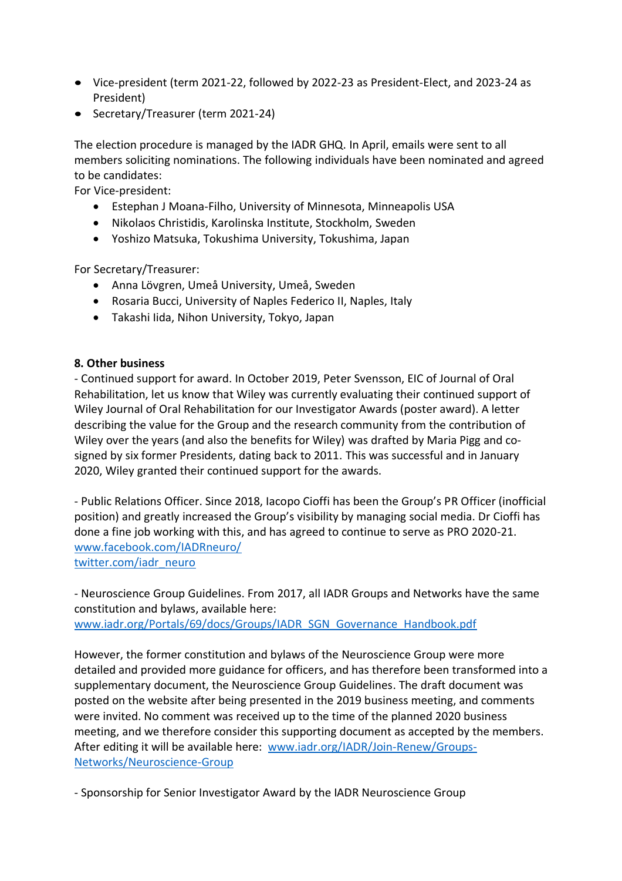- Vice-president (term 2021-22, followed by 2022-23 as President-Elect, and 2023-24 as President)
- Secretary/Treasurer (term 2021-24)

The election procedure is managed by the IADR GHQ. In April, emails were sent to all members soliciting nominations. The following individuals have been nominated and agreed to be candidates:

For Vice-president:

- Estephan J Moana-Filho, University of Minnesota, Minneapolis USA
- Nikolaos Christidis, Karolinska Institute, Stockholm, Sweden
- Yoshizo Matsuka, Tokushima University, Tokushima, Japan

For Secretary/Treasurer:

- Anna Lövgren, Umeå University, Umeå, Sweden
- Rosaria Bucci, University of Naples Federico II, Naples, Italy
- Takashi Iida, Nihon University, Tokyo, Japan

#### **8. Other business**

- Continued support for award. In October 2019, Peter Svensson, EIC of Journal of Oral Rehabilitation, let us know that Wiley was currently evaluating their continued support of Wiley Journal of Oral Rehabilitation for our Investigator Awards (poster award). A letter describing the value for the Group and the research community from the contribution of Wiley over the years (and also the benefits for Wiley) was drafted by Maria Pigg and cosigned by six former Presidents, dating back to 2011. This was successful and in January 2020, Wiley granted their continued support for the awards.

- Public Relations Officer. Since 2018, Iacopo Cioffi has been the Group's PR Officer (inofficial position) and greatly increased the Group's visibility by managing social media. Dr Cioffi has done a fine job working with this, and has agreed to continue to serve as PRO 2020-21. [www.facebook.com/IADRneuro/](http://www.facebook.com/IADRneuro/) [twitter.com/iadr\\_neuro](https://twitter.com/iadr_neuro)

- Neuroscience Group Guidelines. From 2017, all IADR Groups and Networks have the same constitution and bylaws, available here: [www.iadr.org/Portals/69/docs/Groups/IADR\\_SGN\\_Governance\\_Handbook.pdf](http://www.iadr.org/Portals/69/docs/Groups/IADR_SGN_Governance_Handbook.pdf)

However, the former constitution and bylaws of the Neuroscience Group were more detailed and provided more guidance for officers, and has therefore been transformed into a supplementary document, the Neuroscience Group Guidelines. The draft document was posted on the website after being presented in the 2019 business meeting, and comments were invited. No comment was received up to the time of the planned 2020 business meeting, and we therefore consider this supporting document as accepted by the members. After editing it will be available here: [www.iadr.org/IADR/Join-Renew/Groups-](http://www.iadr.org/IADR/Join-Renew/Groups-Networks/Neuroscience-Group)[Networks/Neuroscience-Group](http://www.iadr.org/IADR/Join-Renew/Groups-Networks/Neuroscience-Group)

- Sponsorship for Senior Investigator Award by the IADR Neuroscience Group